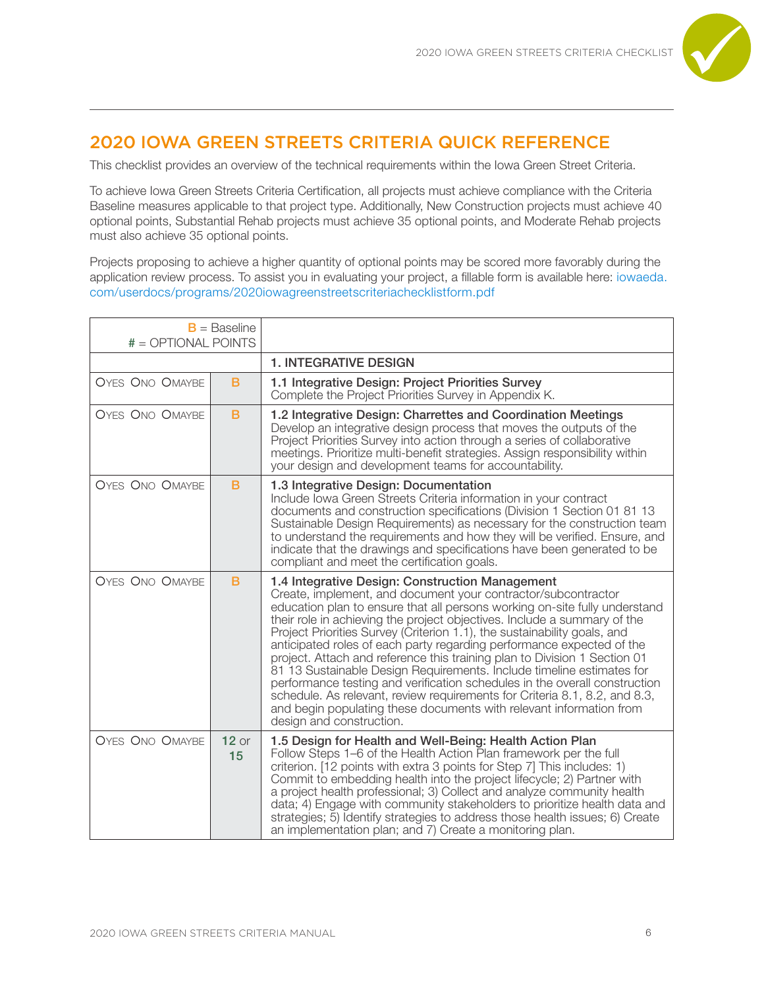

## 2020 IOWA GREEN STREETS CRITERIA QUICK REFERENCE

This checklist provides an overview of the technical requirements within the Iowa Green Street Criteria.

To achieve Iowa Green Streets Criteria Certification, all projects must achieve compliance with the Criteria Baseline measures applicable to that project type. Additionally, New Construction projects must achieve 40 optional points, Substantial Rehab projects must achieve 35 optional points, and Moderate Rehab projects must also achieve 35 optional points.

Projects proposing to achieve a higher quantity of optional points may be scored more favorably during the application review process. To assist you in evaluating your project, a fillable form is available here: iowaeda. com/userdocs/programs/2020iowagreenstreetscriteriachecklistform.pdf

| $B =$ Baseline<br>$# = OPTIONAL$ POINTS |               |                                                                                                                                                                                                                                                                                                                                                                                                                                                                                                                                                                                                                                                                                                                                                                                                                                                      |
|-----------------------------------------|---------------|------------------------------------------------------------------------------------------------------------------------------------------------------------------------------------------------------------------------------------------------------------------------------------------------------------------------------------------------------------------------------------------------------------------------------------------------------------------------------------------------------------------------------------------------------------------------------------------------------------------------------------------------------------------------------------------------------------------------------------------------------------------------------------------------------------------------------------------------------|
|                                         |               | <b>1. INTEGRATIVE DESIGN</b>                                                                                                                                                                                                                                                                                                                                                                                                                                                                                                                                                                                                                                                                                                                                                                                                                         |
| <b>OYES ONO OMAYBE</b>                  | B             | 1.1 Integrative Design: Project Priorities Survey<br>Complete the Project Priorities Survey in Appendix K.                                                                                                                                                                                                                                                                                                                                                                                                                                                                                                                                                                                                                                                                                                                                           |
| <b>OYES ONO OMAYBE</b>                  | B             | 1.2 Integrative Design: Charrettes and Coordination Meetings<br>Develop an integrative design process that moves the outputs of the<br>Project Priorities Survey into action through a series of collaborative<br>meetings. Prioritize multi-benefit strategies. Assign responsibility within<br>your design and development teams for accountability.                                                                                                                                                                                                                                                                                                                                                                                                                                                                                               |
| <b>OYES ONO OMAYBE</b>                  | B             | 1.3 Integrative Design: Documentation<br>Include Iowa Green Streets Criteria information in your contract<br>documents and construction specifications (Division 1 Section 01 81 13<br>Sustainable Design Requirements) as necessary for the construction team<br>to understand the requirements and how they will be verified. Ensure, and<br>indicate that the drawings and specifications have been generated to be<br>compliant and meet the certification goals.                                                                                                                                                                                                                                                                                                                                                                                |
| <b>OYES ONO OMAYBE</b>                  | B             | 1.4 Integrative Design: Construction Management<br>Create, implement, and document your contractor/subcontractor<br>education plan to ensure that all persons working on-site fully understand<br>their role in achieving the project objectives. Include a summary of the<br>Project Priorities Survey (Criterion 1.1), the sustainability goals, and<br>anticipated roles of each party regarding performance expected of the<br>project. Attach and reference this training plan to Division 1 Section 01<br>81 13 Sustainable Design Requirements. Include timeline estimates for<br>performance testing and verification schedules in the overall construction<br>schedule. As relevant, review requirements for Criteria 8.1, 8.2, and 8.3,<br>and begin populating these documents with relevant information from<br>design and construction. |
| <b>OYES ONO OMAYBE</b>                  | $12$ or<br>15 | 1.5 Design for Health and Well-Being: Health Action Plan<br>Follow Steps 1–6 of the Health Action Plan framework per the full<br>criterion. [12 points with extra 3 points for Step 7] This includes: 1)<br>Commit to embedding health into the project lifecycle; 2) Partner with<br>a project health professional; 3) Collect and analyze community health<br>data; 4) Engage with community stakeholders to prioritize health data and<br>strategies; 5) Identify strategies to address those health issues; 6) Create<br>an implementation plan; and 7) Create a monitoring plan.                                                                                                                                                                                                                                                                |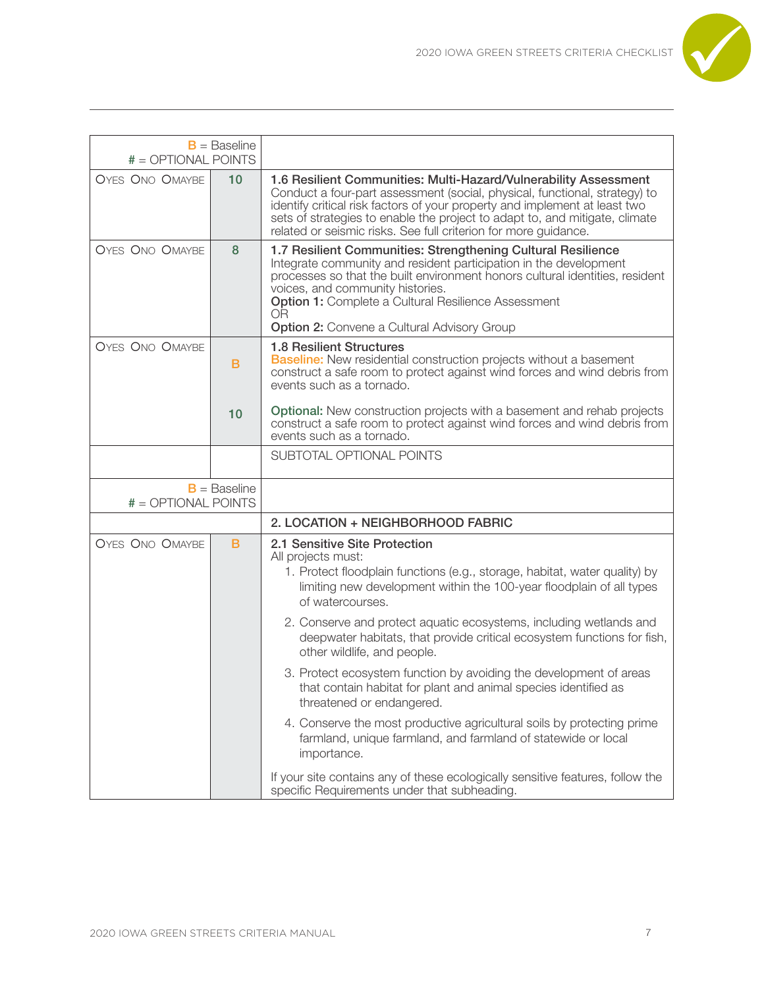

| $# = OPTIONAL$ POINTS                   | $B =$ Baseline |                                                                                                                                                                                                                                                                                                                                                                                        |
|-----------------------------------------|----------------|----------------------------------------------------------------------------------------------------------------------------------------------------------------------------------------------------------------------------------------------------------------------------------------------------------------------------------------------------------------------------------------|
| <b>OYES ONO OMAYBE</b>                  | 10             | 1.6 Resilient Communities: Multi-Hazard/Vulnerability Assessment<br>Conduct a four-part assessment (social, physical, functional, strategy) to<br>identify critical risk factors of your property and implement at least two<br>sets of strategies to enable the project to adapt to, and mitigate, climate<br>related or seismic risks. See full criterion for more guidance.         |
| <b>OYES ONO OMAYBE</b>                  | 8              | 1.7 Resilient Communities: Strengthening Cultural Resilience<br>Integrate community and resident participation in the development<br>processes so that the built environment honors cultural identities, resident<br>voices, and community histories.<br><b>Option 1: Complete a Cultural Resilience Assessment</b><br><b>OR</b><br><b>Option 2:</b> Convene a Cultural Advisory Group |
| <b>OYES ONO OMAYBE</b>                  | B              | <b>1.8 Resilient Structures</b><br>Baseline: New residential construction projects without a basement<br>construct a safe room to protect against wind forces and wind debris from<br>events such as a tornado.                                                                                                                                                                        |
|                                         | 10             | <b>Optional:</b> New construction projects with a basement and rehab projects<br>construct a safe room to protect against wind forces and wind debris from<br>events such as a tornado.                                                                                                                                                                                                |
|                                         |                | SUBTOTAL OPTIONAL POINTS                                                                                                                                                                                                                                                                                                                                                               |
| $B =$ Baseline<br>$# = OPTIONAL$ POINTS |                |                                                                                                                                                                                                                                                                                                                                                                                        |
|                                         |                | 2. LOCATION + NEIGHBORHOOD FABRIC                                                                                                                                                                                                                                                                                                                                                      |
| <b>OYES ONO OMAYBE</b>                  | B              | 2.1 Sensitive Site Protection<br>All projects must:<br>1. Protect floodplain functions (e.g., storage, habitat, water quality) by<br>limiting new development within the 100-year floodplain of all types<br>of watercourses.<br>2. Conserve and protect aquatic ecosystems, including wetlands and                                                                                    |
|                                         |                | deepwater habitats, that provide critical ecosystem functions for fish,<br>other wildlife, and people.                                                                                                                                                                                                                                                                                 |
|                                         |                | 3. Protect ecosystem function by avoiding the development of areas<br>that contain habitat for plant and animal species identified as<br>threatened or endangered.                                                                                                                                                                                                                     |
|                                         |                | 4. Conserve the most productive agricultural soils by protecting prime<br>farmland, unique farmland, and farmland of statewide or local<br>importance.                                                                                                                                                                                                                                 |
|                                         |                | If your site contains any of these ecologically sensitive features, follow the<br>specific Requirements under that subheading.                                                                                                                                                                                                                                                         |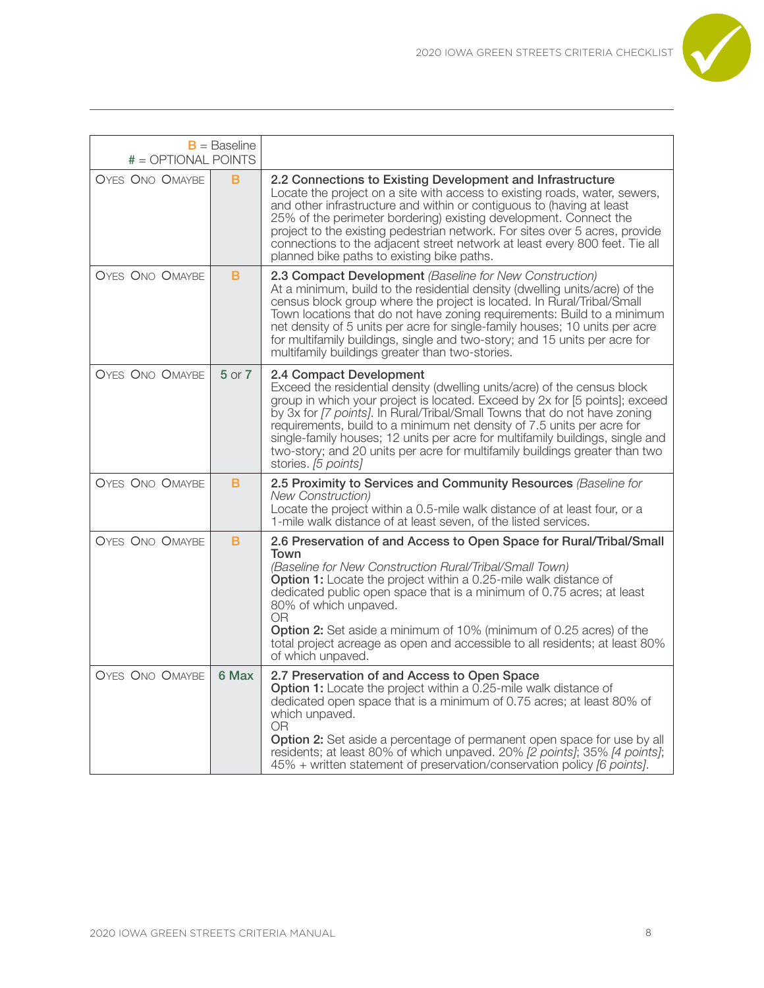

| # = OPTIONAL POINTS    | $B =$ Baseline |                                                                                                                                                                                                                                                                                                                                                                                                                                                                                                                                  |
|------------------------|----------------|----------------------------------------------------------------------------------------------------------------------------------------------------------------------------------------------------------------------------------------------------------------------------------------------------------------------------------------------------------------------------------------------------------------------------------------------------------------------------------------------------------------------------------|
| <b>OYES ONO OMAYBE</b> | B              | 2.2 Connections to Existing Development and Infrastructure<br>Locate the project on a site with access to existing roads, water, sewers,<br>and other infrastructure and within or contiguous to (having at least<br>25% of the perimeter bordering) existing development. Connect the<br>project to the existing pedestrian network. For sites over 5 acres, provide<br>connections to the adjacent street network at least every 800 feet. Tie all<br>planned bike paths to existing bike paths.                               |
| <b>OYES ONO OMAYBE</b> | в              | 2.3 Compact Development (Baseline for New Construction)<br>At a minimum, build to the residential density (dwelling units/acre) of the<br>census block group where the project is located. In Rural/Tribal/Small<br>Town locations that do not have zoning requirements: Build to a minimum<br>net density of 5 units per acre for single-family houses; 10 units per acre<br>for multifamily buildings, single and two-story; and 15 units per acre for<br>multifamily buildings greater than two-stories.                      |
| <b>OYES ONO OMAYBE</b> | $5$ or $7$     | 2.4 Compact Development<br>Exceed the residential density (dwelling units/acre) of the census block<br>group in which your project is located. Exceed by 2x for [5 points]; exceed<br>by 3x for [7 points]. In Rural/Tribal/Small Towns that do not have zoning<br>requirements, build to a minimum net density of 7.5 units per acre for<br>single-family houses; 12 units per acre for multifamily buildings, single and<br>two-story; and 20 units per acre for multifamily buildings greater than two<br>stories. [5 points] |
| <b>OYES ONO OMAYBE</b> | в              | 2.5 Proximity to Services and Community Resources (Baseline for<br><b>New Construction</b> )<br>Locate the project within a 0.5-mile walk distance of at least four, or a<br>1-mile walk distance of at least seven, of the listed services.                                                                                                                                                                                                                                                                                     |
| <b>OYES ONO OMAYBE</b> | в              | 2.6 Preservation of and Access to Open Space for Rural/Tribal/Small<br>Town<br>(Baseline for New Construction Rural/Tribal/Small Town)<br>Option 1: Locate the project within a 0.25-mile walk distance of<br>dedicated public open space that is a minimum of 0.75 acres; at least<br>80% of which unpaved.<br>0R<br><b>Option 2:</b> Set aside a minimum of 10% (minimum of 0.25 acres) of the<br>total project acreage as open and accessible to all residents; at least 80%<br>of which unpaved.                             |
| <b>OYES ONO OMAYBE</b> | 6 Max          | 2.7 Preservation of and Access to Open Space<br><b>Option 1:</b> Locate the project within a 0.25-mile walk distance of<br>dedicated open space that is a minimum of 0.75 acres; at least 80% of<br>which unpaved.<br>0R<br>Option 2: Set aside a percentage of permanent open space for use by all<br>residents; at least 80% of which unpaved. 20% [2 points]; 35% [4 points];<br>45% + written statement of preservation/conservation policy [6 points].                                                                      |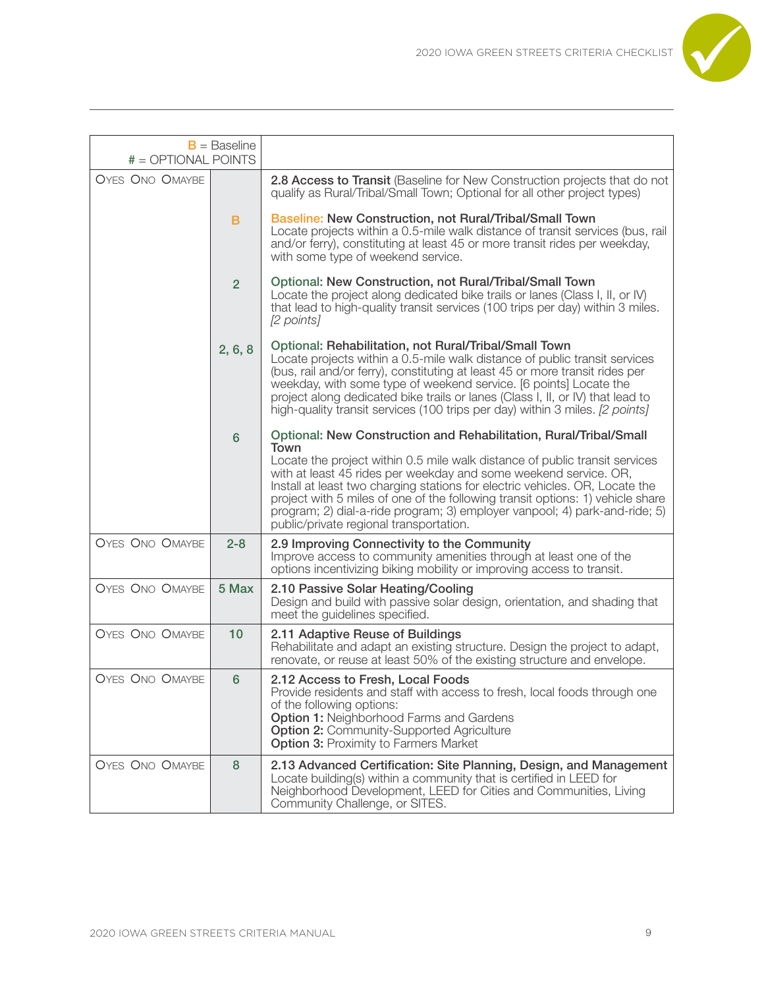

| # = OPTIONAL POINTS    | $B =$ Baseline |                                                                                                                                                                                                                                                                                                                                                                                                                                                                                                                         |
|------------------------|----------------|-------------------------------------------------------------------------------------------------------------------------------------------------------------------------------------------------------------------------------------------------------------------------------------------------------------------------------------------------------------------------------------------------------------------------------------------------------------------------------------------------------------------------|
| <b>OYES ONO OMAYBE</b> |                | 2.8 Access to Transit (Baseline for New Construction projects that do not<br>qualify as Rural/Tribal/Small Town; Optional for all other project types)                                                                                                                                                                                                                                                                                                                                                                  |
|                        | B              | Baseline: New Construction, not Rural/Tribal/Small Town<br>Locate projects within a 0.5-mile walk distance of transit services (bus, rail<br>and/or ferry), constituting at least 45 or more transit rides per weekday,<br>with some type of weekend service.                                                                                                                                                                                                                                                           |
|                        | $\overline{2}$ | Optional: New Construction, not Rural/Tribal/Small Town<br>Locate the project along dedicated bike trails or lanes (Class I, II, or IV)<br>that lead to high-quality transit services (100 trips per day) within 3 miles.<br>[2 points]                                                                                                                                                                                                                                                                                 |
|                        | 2, 6, 8        | Optional: Rehabilitation, not Rural/Tribal/Small Town<br>Locate projects within a 0.5-mile walk distance of public transit services<br>(bus, rail and/or ferry), constituting at least 45 or more transit rides per<br>weekday, with some type of weekend service. [6 points] Locate the<br>project along dedicated bike trails or lanes (Class I, II, or IV) that lead to<br>high-quality transit services (100 trips per day) within 3 miles. [2 points]                                                              |
|                        | $6\phantom{1}$ | Optional: New Construction and Rehabilitation, Rural/Tribal/Small<br>Town<br>Locate the project within 0.5 mile walk distance of public transit services<br>with at least 45 rides per weekday and some weekend service. OR,<br>Install at least two charging stations for electric vehicles. OR, Locate the<br>project with 5 miles of one of the following transit options: 1) vehicle share<br>program; 2) dial-a-ride program; 3) employer vanpool; 4) park-and-ride; 5)<br>public/private regional transportation. |
| <b>OYES ONO OMAYBE</b> | $2 - 8$        | 2.9 Improving Connectivity to the Community<br>Improve access to community amenities through at least one of the<br>options incentivizing biking mobility or improving access to transit.                                                                                                                                                                                                                                                                                                                               |
| <b>OYES ONO OMAYBE</b> | 5 Max          | 2.10 Passive Solar Heating/Cooling<br>Design and build with passive solar design, orientation, and shading that<br>meet the guidelines specified.                                                                                                                                                                                                                                                                                                                                                                       |
| <b>OYES ONO OMAYBE</b> | 10             | 2.11 Adaptive Reuse of Buildings<br>Rehabilitate and adapt an existing structure. Design the project to adapt,<br>renovate, or reuse at least 50% of the existing structure and envelope.                                                                                                                                                                                                                                                                                                                               |
| <b>OYES ONO OMAYBE</b> | 6              | 2.12 Access to Fresh, Local Foods<br>Provide residents and staff with access to fresh, local foods through one<br>of the following options:<br><b>Option 1: Neighborhood Farms and Gardens</b><br><b>Option 2: Community-Supported Agriculture</b><br><b>Option 3: Proximity to Farmers Market</b>                                                                                                                                                                                                                      |
| <b>OYES ONO OMAYBE</b> | 8              | 2.13 Advanced Certification: Site Planning, Design, and Management<br>Locate building(s) within a community that is certified in LEED for<br>Neighborhood Development, LEED for Cities and Communities, Living<br>Community Challenge, or SITES.                                                                                                                                                                                                                                                                        |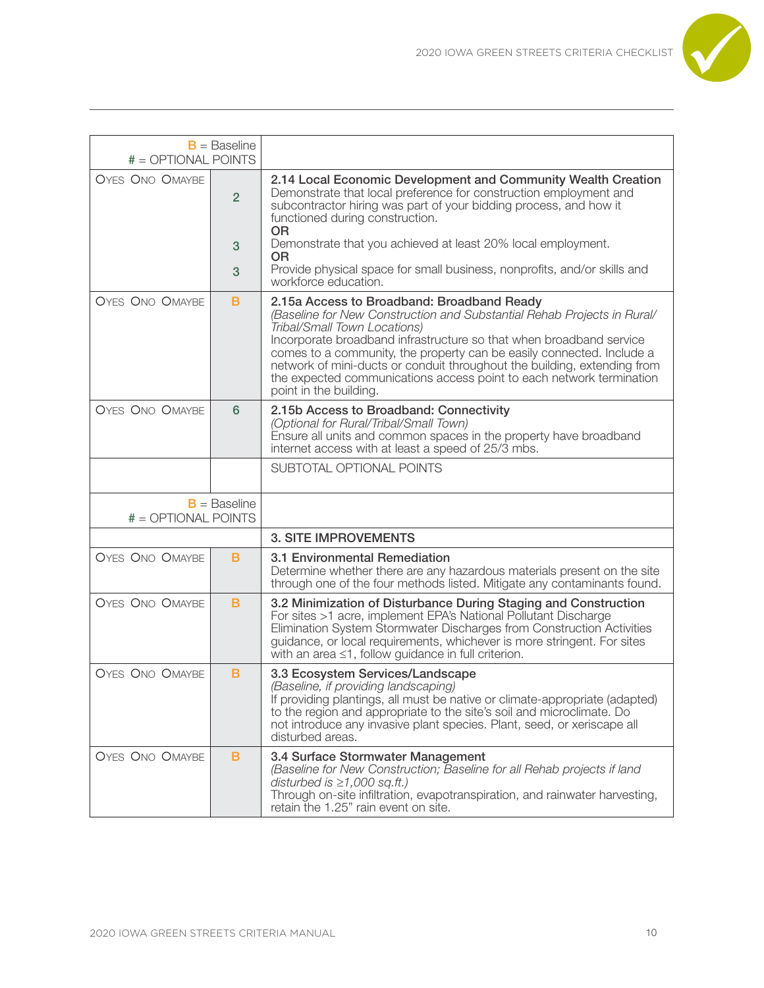

| $# = OPTIONAL$ POINTS  | $B =$ Baseline      |                                                                                                                                                                                                                                                                                                                                                                                                                                                                                     |
|------------------------|---------------------|-------------------------------------------------------------------------------------------------------------------------------------------------------------------------------------------------------------------------------------------------------------------------------------------------------------------------------------------------------------------------------------------------------------------------------------------------------------------------------------|
| <b>OYES ONO OMAYBE</b> | $\overline{2}$<br>3 | 2.14 Local Economic Development and Community Wealth Creation<br>Demonstrate that local preference for construction employment and<br>subcontractor hiring was part of your bidding process, and how it<br>functioned during construction.<br><b>OR</b><br>Demonstrate that you achieved at least 20% local employment.<br>0R                                                                                                                                                       |
|                        | 3                   | Provide physical space for small business, nonprofits, and/or skills and<br>workforce education.                                                                                                                                                                                                                                                                                                                                                                                    |
| <b>OYES ONO OMAYBE</b> | B                   | 2.15a Access to Broadband: Broadband Ready<br>(Baseline for New Construction and Substantial Rehab Projects in Rural/<br>Tribal/Small Town Locations)<br>Incorporate broadband infrastructure so that when broadband service<br>comes to a community, the property can be easily connected. Include a<br>network of mini-ducts or conduit throughout the building, extending from<br>the expected communications access point to each network termination<br>point in the building. |
| <b>OYES ONO OMAYBE</b> | 6                   | 2.15b Access to Broadband: Connectivity<br>(Optional for Rural/Tribal/Small Town)<br>Ensure all units and common spaces in the property have broadband<br>internet access with at least a speed of 25/3 mbs.                                                                                                                                                                                                                                                                        |
|                        |                     | SUBTOTAL OPTIONAL POINTS                                                                                                                                                                                                                                                                                                                                                                                                                                                            |
| $# = OPTIONAL$ POINTS  | $B =$ Baseline      |                                                                                                                                                                                                                                                                                                                                                                                                                                                                                     |
|                        |                     | <b>3. SITE IMPROVEMENTS</b>                                                                                                                                                                                                                                                                                                                                                                                                                                                         |
| <b>OYES ONO OMAYBE</b> | B                   | 3.1 Environmental Remediation<br>Determine whether there are any hazardous materials present on the site<br>through one of the four methods listed. Mitigate any contaminants found.                                                                                                                                                                                                                                                                                                |
| <b>OYES ONO OMAYBE</b> | в                   | 3.2 Minimization of Disturbance During Staging and Construction<br>For sites >1 acre, implement EPA's National Pollutant Discharge<br>Elimination System Stormwater Discharges from Construction Activities<br>guidance, or local requirements, whichever is more stringent. For sites<br>with an area $\leq$ 1, follow guidance in full criterion.                                                                                                                                 |
| <b>OYES ONO OMAYBE</b> | B                   | 3.3 Ecosystem Services/Landscape<br>(Baseline, if providing landscaping)<br>If providing plantings, all must be native or climate-appropriate (adapted)<br>to the region and appropriate to the site's soil and microclimate. Do<br>not introduce any invasive plant species. Plant, seed, or xeriscape all<br>disturbed areas.                                                                                                                                                     |
| <b>OYES ONO OMAYBE</b> | B                   | 3.4 Surface Stormwater Management<br>(Baseline for New Construction; Baseline for all Rehab projects if land<br>disturbed is $\geq 1,000$ sq.ft.)<br>Through on-site infiltration, evapotranspiration, and rainwater harvesting,<br>retain the 1.25" rain event on site.                                                                                                                                                                                                            |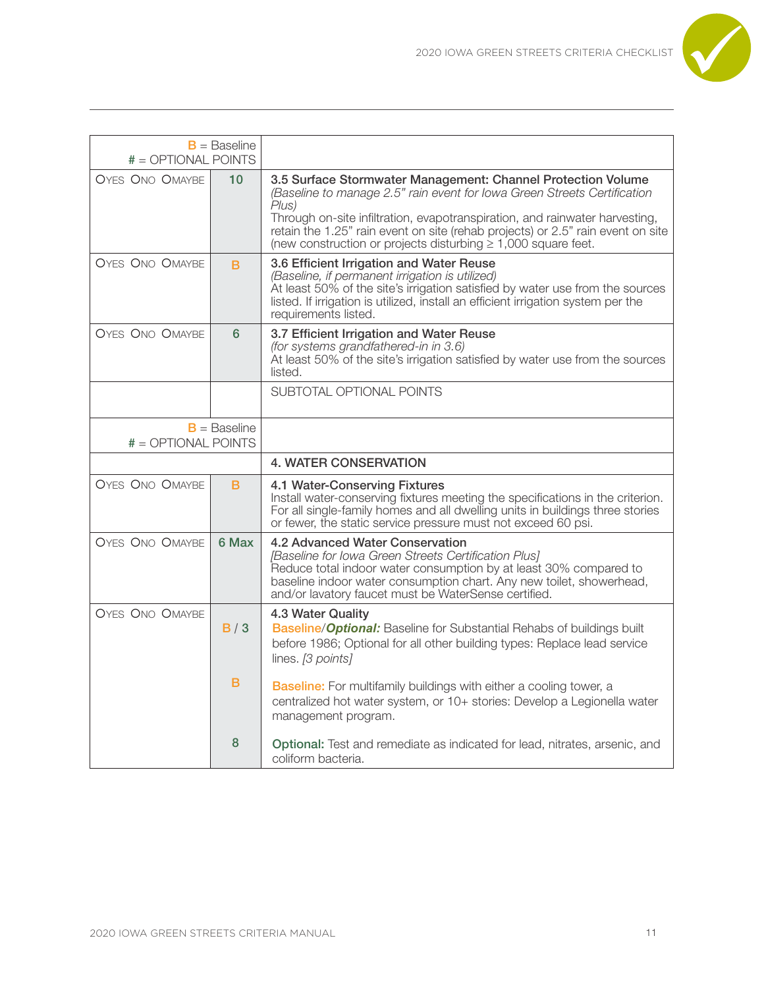

| # = OPTIONAL POINTS    | $B =$ Baseline |                                                                                                                                                                                                                                                                                                                                                                                           |
|------------------------|----------------|-------------------------------------------------------------------------------------------------------------------------------------------------------------------------------------------------------------------------------------------------------------------------------------------------------------------------------------------------------------------------------------------|
| <b>OYES ONO OMAYBE</b> | 10             | 3.5 Surface Stormwater Management: Channel Protection Volume<br>(Baseline to manage 2.5" rain event for lowa Green Streets Certification<br>Plus)<br>Through on-site infiltration, evapotranspiration, and rainwater harvesting,<br>retain the 1.25" rain event on site (rehab projects) or 2.5" rain event on site<br>(new construction or projects disturbing $\geq 1,000$ square feet. |
| <b>OYES ONO OMAYBE</b> | B              | 3.6 Efficient Irrigation and Water Reuse<br>(Baseline, if permanent irrigation is utilized)<br>At least 50% of the site's irrigation satisfied by water use from the sources<br>listed. If irrigation is utilized, install an efficient irrigation system per the<br>requirements listed.                                                                                                 |
| <b>OYES ONO OMAYBE</b> | 6              | 3.7 Efficient Irrigation and Water Reuse<br>(for systems grandfathered-in in 3.6)<br>At least 50% of the site's irrigation satisfied by water use from the sources<br>listed.                                                                                                                                                                                                             |
|                        |                | SUBTOTAL OPTIONAL POINTS                                                                                                                                                                                                                                                                                                                                                                  |
| # = OPTIONAL POINTS    | $B =$ Baseline |                                                                                                                                                                                                                                                                                                                                                                                           |
|                        |                |                                                                                                                                                                                                                                                                                                                                                                                           |
|                        |                | <b>4. WATER CONSERVATION</b>                                                                                                                                                                                                                                                                                                                                                              |
| <b>OYES ONO OMAYBE</b> | B              | 4.1 Water-Conserving Fixtures<br>Install water-conserving fixtures meeting the specifications in the criterion.<br>For all single-family homes and all dwelling units in buildings three stories<br>or fewer, the static service pressure must not exceed 60 psi.                                                                                                                         |
| <b>OYES ONO OMAYBE</b> | 6 Max          | 4.2 Advanced Water Conservation<br>[Baseline for Iowa Green Streets Certification Plus]<br>Reduce total indoor water consumption by at least 30% compared to<br>baseline indoor water consumption chart. Any new toilet, showerhead,<br>and/or lavatory faucet must be WaterSense certified.                                                                                              |
| <b>OYES ONO OMAYBE</b> | B/3            | 4.3 Water Quality<br><b>Baseline/Optional:</b> Baseline for Substantial Rehabs of buildings built<br>before 1986; Optional for all other building types: Replace lead service<br>lines. [3 points]                                                                                                                                                                                        |
|                        | B              | <b>Baseline:</b> For multifamily buildings with either a cooling tower, a<br>centralized hot water system, or 10+ stories: Develop a Legionella water<br>management program.                                                                                                                                                                                                              |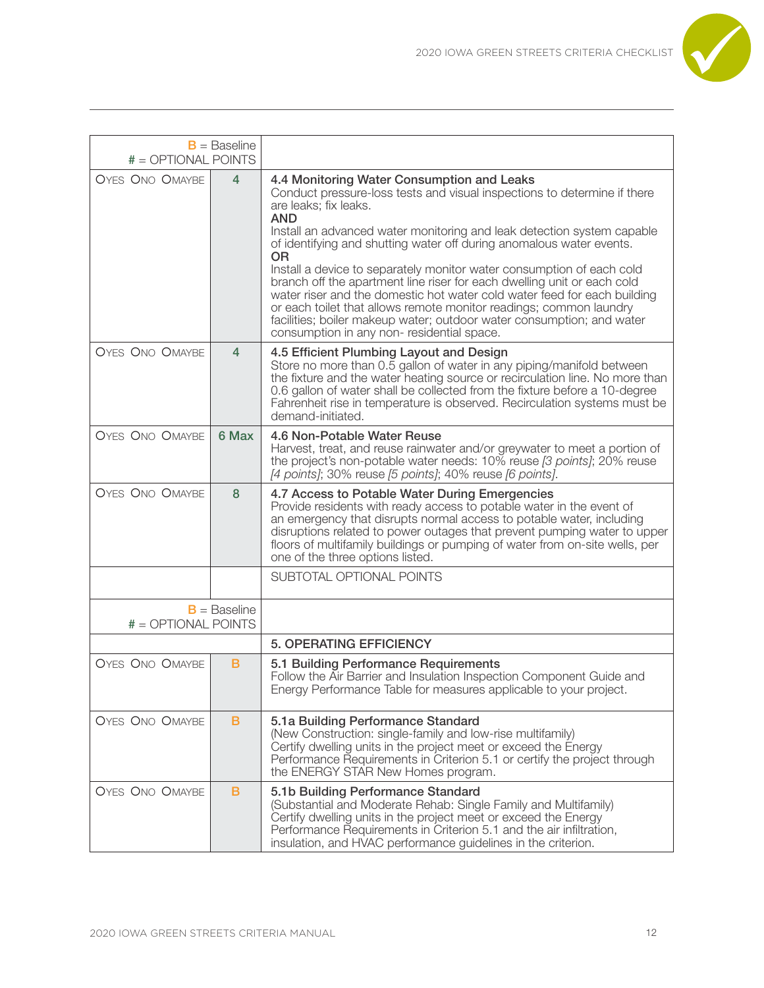

| # = OPTIONAL POINTS                     | $B =$ Baseline |                                                                                                                                                                                                                                                                                                                                                                                                                                                                                                                                                                                                                                                                                                                                                          |
|-----------------------------------------|----------------|----------------------------------------------------------------------------------------------------------------------------------------------------------------------------------------------------------------------------------------------------------------------------------------------------------------------------------------------------------------------------------------------------------------------------------------------------------------------------------------------------------------------------------------------------------------------------------------------------------------------------------------------------------------------------------------------------------------------------------------------------------|
| <b>OYES ONO OMAYBE</b>                  | 4              | 4.4 Monitoring Water Consumption and Leaks<br>Conduct pressure-loss tests and visual inspections to determine if there<br>are leaks; fix leaks.<br><b>AND</b><br>Install an advanced water monitoring and leak detection system capable<br>of identifying and shutting water off during anomalous water events.<br><b>OR</b><br>Install a device to separately monitor water consumption of each cold<br>branch off the apartment line riser for each dwelling unit or each cold<br>water riser and the domestic hot water cold water feed for each building<br>or each toilet that allows remote monitor readings; common laundry<br>facilities; boiler makeup water; outdoor water consumption; and water<br>consumption in any non-residential space. |
| <b>OYES ONO OMAYBE</b>                  | 4              | 4.5 Efficient Plumbing Layout and Design<br>Store no more than 0.5 gallon of water in any piping/manifold between<br>the fixture and the water heating source or recirculation line. No more than<br>0.6 gallon of water shall be collected from the fixture before a 10-degree<br>Fahrenheit rise in temperature is observed. Recirculation systems must be<br>demand-initiated.                                                                                                                                                                                                                                                                                                                                                                        |
| <b>OYES ONO OMAYBE</b>                  | 6 Max          | 4.6 Non-Potable Water Reuse<br>Harvest, treat, and reuse rainwater and/or greywater to meet a portion of<br>the project's non-potable water needs: 10% reuse [3 points]; 20% reuse<br>[4 points]; 30% reuse [5 points]; 40% reuse [6 points].                                                                                                                                                                                                                                                                                                                                                                                                                                                                                                            |
| <b>OYES ONO OMAYBE</b>                  | 8              | 4.7 Access to Potable Water During Emergencies<br>Provide residents with ready access to potable water in the event of<br>an emergency that disrupts normal access to potable water, including<br>disruptions related to power outages that prevent pumping water to upper<br>floors of multifamily buildings or pumping of water from on-site wells, per<br>one of the three options listed.                                                                                                                                                                                                                                                                                                                                                            |
|                                         |                | SUBTOTAL OPTIONAL POINTS                                                                                                                                                                                                                                                                                                                                                                                                                                                                                                                                                                                                                                                                                                                                 |
| $B =$ Baseline<br>$# = OPTIONAL$ POINTS |                |                                                                                                                                                                                                                                                                                                                                                                                                                                                                                                                                                                                                                                                                                                                                                          |
|                                         |                | <b>5. OPERATING EFFICIENCY</b>                                                                                                                                                                                                                                                                                                                                                                                                                                                                                                                                                                                                                                                                                                                           |
| OYES ONO OMAYBE                         | B              | 5.1 Building Performance Requirements<br>Follow the Air Barrier and Insulation Inspection Component Guide and<br>Energy Performance Table for measures applicable to your project.                                                                                                                                                                                                                                                                                                                                                                                                                                                                                                                                                                       |
| <b>OYES ONO OMAYBE</b>                  | B              | 5.1a Building Performance Standard<br>(New Construction: single-family and low-rise multifamily)<br>Certify dwelling units in the project meet or exceed the Energy<br>Performance Requirements in Criterion 5.1 or certify the project through<br>the ENERGY STAR New Homes program.                                                                                                                                                                                                                                                                                                                                                                                                                                                                    |
| <b>OYES ONO OMAYBE</b>                  | B              | 5.1b Building Performance Standard<br>(Substantial and Moderate Rehab: Single Family and Multifamily)<br>Certify dwelling units in the project meet or exceed the Energy<br>Performance Requirements in Criterion 5.1 and the air infiltration,<br>insulation, and HVAC performance guidelines in the criterion.                                                                                                                                                                                                                                                                                                                                                                                                                                         |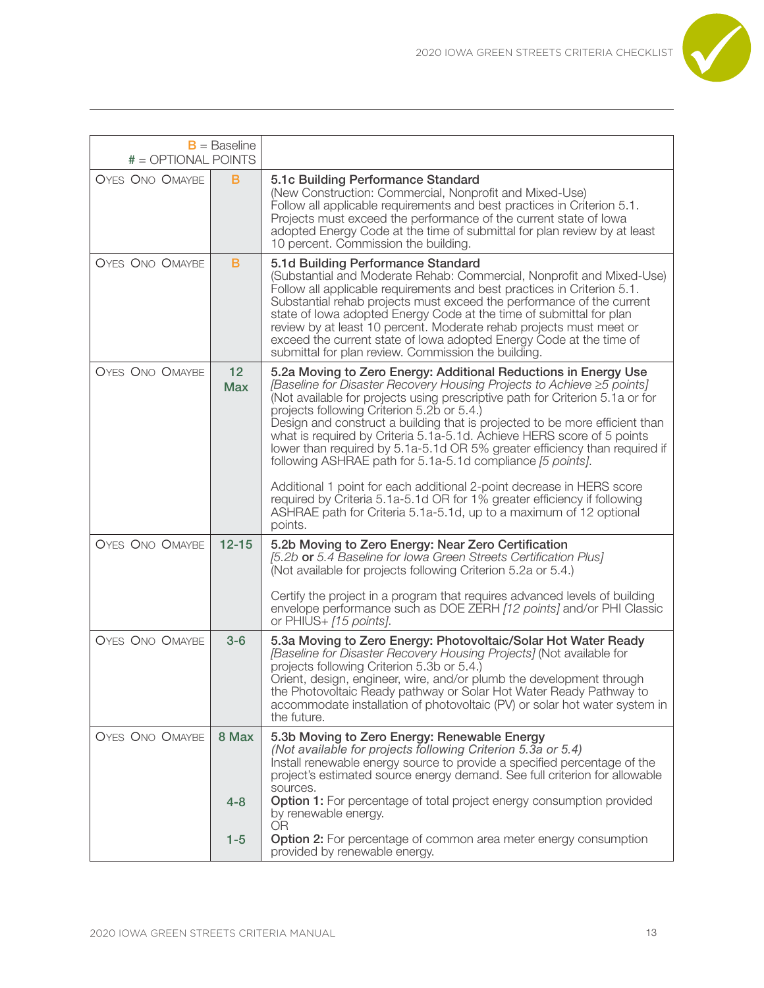

| # = OPTIONAL POINTS    | $B =$ Baseline   |                                                                                                                                                                                                                                                                                                                                                                                                                                                                                                                                                                                                                                                                                                                                                                                                                     |
|------------------------|------------------|---------------------------------------------------------------------------------------------------------------------------------------------------------------------------------------------------------------------------------------------------------------------------------------------------------------------------------------------------------------------------------------------------------------------------------------------------------------------------------------------------------------------------------------------------------------------------------------------------------------------------------------------------------------------------------------------------------------------------------------------------------------------------------------------------------------------|
| <b>OYES ONO OMAYBE</b> | B                | 5.1c Building Performance Standard<br>(New Construction: Commercial, Nonprofit and Mixed-Use)<br>Follow all applicable requirements and best practices in Criterion 5.1.<br>Projects must exceed the performance of the current state of lowa<br>adopted Energy Code at the time of submittal for plan review by at least<br>10 percent. Commission the building.                                                                                                                                                                                                                                                                                                                                                                                                                                                   |
| <b>OYES ONO OMAYBE</b> | B                | 5.1d Building Performance Standard<br>(Substantial and Moderate Rehab: Commercial, Nonprofit and Mixed-Use)<br>Follow all applicable requirements and best practices in Criterion 5.1.<br>Substantial rehab projects must exceed the performance of the current<br>state of lowa adopted Energy Code at the time of submittal for plan<br>review by at least 10 percent. Moderate rehab projects must meet or<br>exceed the current state of lowa adopted Energy Code at the time of<br>submittal for plan review. Commission the building.                                                                                                                                                                                                                                                                         |
| <b>OYES ONO OMAYBE</b> | 12<br><b>Max</b> | 5.2a Moving to Zero Energy: Additional Reductions in Energy Use<br>[Baseline for Disaster Recovery Housing Projects to Achieve ≥5 points]<br>(Not available for projects using prescriptive path for Criterion 5.1a or for<br>projects following Criterion 5.2b or 5.4.)<br>Design and construct a building that is projected to be more efficient than<br>what is required by Criteria 5.1a-5.1d. Achieve HERS score of 5 points<br>lower than required by 5.1a-5.1d OR 5% greater efficiency than required if<br>following ASHRAE path for 5.1a-5.1d compliance [5 points].<br>Additional 1 point for each additional 2-point decrease in HERS score<br>required by Criteria 5.1a-5.1d OR for 1% greater efficiency if following<br>ASHRAE path for Criteria 5.1a-5.1d, up to a maximum of 12 optional<br>points. |
| <b>OYES ONO OMAYBE</b> | $12 - 15$        | 5.2b Moving to Zero Energy: Near Zero Certification<br>[5.2b or 5.4 Baseline for Iowa Green Streets Certification Plus]<br>(Not available for projects following Criterion 5.2a or 5.4.)<br>Certify the project in a program that requires advanced levels of building<br>envelope performance such as DOE ZERH [12 points] and/or PHI Classic<br>or PHIUS+ [15 points].                                                                                                                                                                                                                                                                                                                                                                                                                                            |
| <b>OYES ONO OMAYBE</b> | $3-6$            | 5.3a Moving to Zero Energy: Photovoltaic/Solar Hot Water Ready<br>[Baseline for Disaster Recovery Housing Projects] (Not available for<br>projects following Criterion 5.3b or 5.4.)<br>Orient, design, engineer, wire, and/or plumb the development through<br>the Photovoltaic Ready pathway or Solar Hot Water Ready Pathway to<br>accommodate installation of photovoltaic (PV) or solar hot water system in<br>the future.                                                                                                                                                                                                                                                                                                                                                                                     |
| <b>OYES ONO OMAYBE</b> | 8 Max            | 5.3b Moving to Zero Energy: Renewable Energy<br>(Not available for projects following Criterion 5.3a or 5.4)<br>Install renewable energy source to provide a specified percentage of the<br>project's estimated source energy demand. See full criterion for allowable<br>sources.                                                                                                                                                                                                                                                                                                                                                                                                                                                                                                                                  |
|                        | $4 - 8$          | Option 1: For percentage of total project energy consumption provided<br>by renewable energy.<br><b>OR</b>                                                                                                                                                                                                                                                                                                                                                                                                                                                                                                                                                                                                                                                                                                          |
|                        | $1 - 5$          | Option 2: For percentage of common area meter energy consumption<br>provided by renewable energy.                                                                                                                                                                                                                                                                                                                                                                                                                                                                                                                                                                                                                                                                                                                   |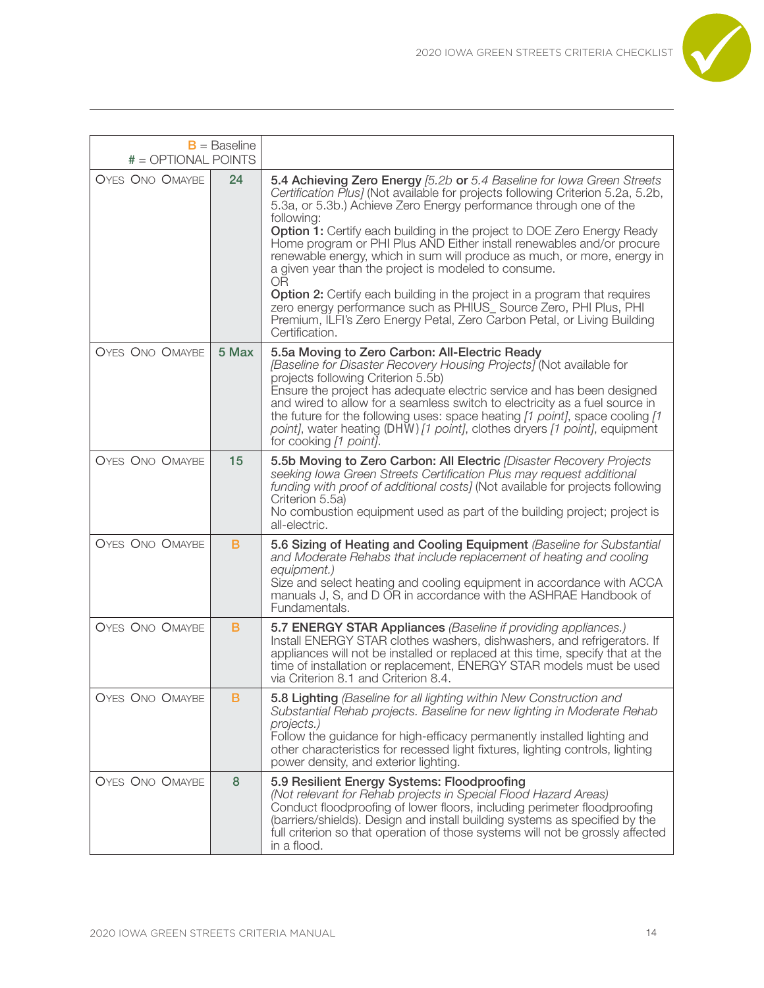

| $# = OPTIONAL$ POINTS  | $B =$ Baseline |                                                                                                                                                                                                                                                                                                                                                                                                                                                                                                                                                                                                                                                                                                                                                                                                  |
|------------------------|----------------|--------------------------------------------------------------------------------------------------------------------------------------------------------------------------------------------------------------------------------------------------------------------------------------------------------------------------------------------------------------------------------------------------------------------------------------------------------------------------------------------------------------------------------------------------------------------------------------------------------------------------------------------------------------------------------------------------------------------------------------------------------------------------------------------------|
| <b>OYES ONO OMAYBE</b> | 24             | 5.4 Achieving Zero Energy [5.2b or 5.4 Baseline for lowa Green Streets<br>Certification Plus] (Not available for projects following Criterion 5.2a, 5.2b,<br>5.3a, or 5.3b.) Achieve Zero Energy performance through one of the<br>following:<br>Option 1: Certify each building in the project to DOE Zero Energy Ready<br>Home program or PHI Plus AND Either install renewables and/or procure<br>renewable energy, which in sum will produce as much, or more, energy in<br>a given year than the project is modeled to consume.<br><b>OR</b><br>Option 2: Certify each building in the project in a program that requires<br>zero energy performance such as PHIUS_Source Zero, PHI Plus, PHI<br>Premium, ILFI's Zero Energy Petal, Zero Carbon Petal, or Living Building<br>Certification. |
| OYES ONO OMAYBE        | 5 Max          | 5.5a Moving to Zero Carbon: All-Electric Ready<br>[Baseline for Disaster Recovery Housing Projects] (Not available for<br>projects following Criterion 5.5b)<br>Ensure the project has adequate electric service and has been designed<br>and wired to allow for a seamless switch to electricity as a fuel source in<br>the future for the following uses: space heating [1 point], space cooling [1<br>point], water heating (DHW) [1 point], clothes dryers [1 point], equipment<br>for cooking [1 point].                                                                                                                                                                                                                                                                                    |
| <b>OYES ONO OMAYBE</b> | 15             | 5.5b Moving to Zero Carbon: All Electric [Disaster Recovery Projects<br>seeking Iowa Green Streets Certification Plus may request additional<br>funding with proof of additional costs] (Not available for projects following<br>Criterion 5.5a)<br>No combustion equipment used as part of the building project; project is<br>all-electric.                                                                                                                                                                                                                                                                                                                                                                                                                                                    |
| <b>OYES ONO OMAYBE</b> | B              | 5.6 Sizing of Heating and Cooling Equipment (Baseline for Substantial<br>and Moderate Rehabs that include replacement of heating and cooling<br>equipment.)<br>Size and select heating and cooling equipment in accordance with ACCA<br>manuals J, S, and D OR in accordance with the ASHRAE Handbook of<br>Fundamentals.                                                                                                                                                                                                                                                                                                                                                                                                                                                                        |
| <b>OYES ONO OMAYBE</b> | B              | 5.7 ENERGY STAR Appliances (Baseline if providing appliances.)<br>Install ENERGY STAR clothes washers, dishwashers, and refrigerators. If<br>appliances will not be installed or replaced at this time, specify that at the<br>time of installation or replacement, ENERGY STAR models must be used<br>via Criterion 8.1 and Criterion 8.4.                                                                                                                                                                                                                                                                                                                                                                                                                                                      |
| <b>OYES ONO OMAYBE</b> | B              | 5.8 Lighting (Baseline for all lighting within New Construction and<br>Substantial Rehab projects. Baseline for new lighting in Moderate Rehab<br>projects.)<br>Follow the guidance for high-efficacy permanently installed lighting and<br>other characteristics for recessed light fixtures, lighting controls, lighting<br>power density, and exterior lighting.                                                                                                                                                                                                                                                                                                                                                                                                                              |
| <b>OYES ONO OMAYBE</b> | 8              | 5.9 Resilient Energy Systems: Floodproofing<br>(Not relevant for Rehab projects in Special Flood Hazard Areas)<br>Conduct floodproofing of lower floors, including perimeter floodproofing<br>(barriers/shields). Design and install building systems as specified by the<br>full criterion so that operation of those systems will not be grossly affected<br>in a flood.                                                                                                                                                                                                                                                                                                                                                                                                                       |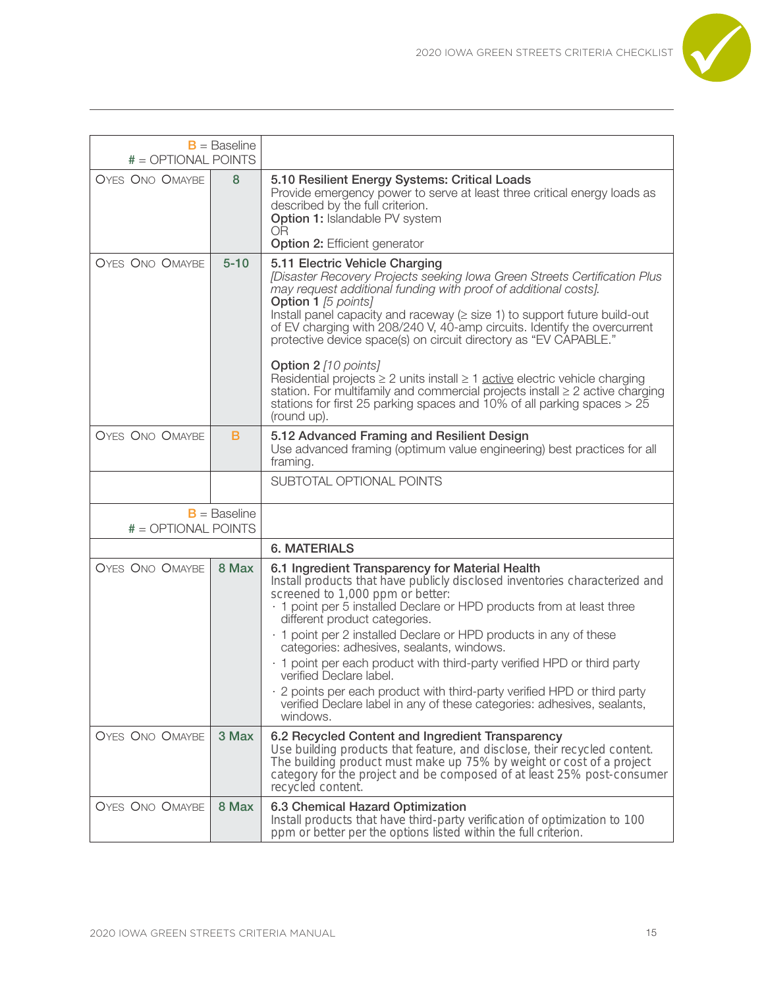

| # = OPTIONAL POINTS                   | $B =$ Baseline |                                                                                                                                                                                                                                                                                                                                                                                                                                                                                                                                                                                                                                                                                                                                                         |
|---------------------------------------|----------------|---------------------------------------------------------------------------------------------------------------------------------------------------------------------------------------------------------------------------------------------------------------------------------------------------------------------------------------------------------------------------------------------------------------------------------------------------------------------------------------------------------------------------------------------------------------------------------------------------------------------------------------------------------------------------------------------------------------------------------------------------------|
| <b>OYES ONO OMAYBE</b>                | 8              | 5.10 Resilient Energy Systems: Critical Loads<br>Provide emergency power to serve at least three critical energy loads as<br>described by the full criterion.<br>Option 1: Islandable PV system<br><b>OR</b><br><b>Option 2: Efficient generator</b>                                                                                                                                                                                                                                                                                                                                                                                                                                                                                                    |
| <b>OYES ONO OMAYBE</b>                | $5 - 10$       | 5.11 Electric Vehicle Charging<br>[Disaster Recovery Projects seeking Iowa Green Streets Certification Plus<br>may request additional funding with proof of additional costs].<br><b>Option 1</b> [5 points]<br>Install panel capacity and raceway $(\geq$ size 1) to support future build-out<br>of EV charging with 208/240 V, 40-amp circuits. Identify the overcurrent<br>protective device space(s) on circuit directory as "EV CAPABLE."<br><b>Option 2</b> [10 points]<br>Residential projects $\geq 2$ units install $\geq 1$ active electric vehicle charging<br>station. For multifamily and commercial projects install $\geq 2$ active charging<br>stations for first 25 parking spaces and 10% of all parking spaces $>$ 25<br>(round up). |
| <b>OYES ONO OMAYBE</b>                | в              | 5.12 Advanced Framing and Resilient Design<br>Use advanced framing (optimum value engineering) best practices for all<br>framing.                                                                                                                                                                                                                                                                                                                                                                                                                                                                                                                                                                                                                       |
|                                       |                | SUBTOTAL OPTIONAL POINTS                                                                                                                                                                                                                                                                                                                                                                                                                                                                                                                                                                                                                                                                                                                                |
| $B =$ Baseline<br># = OPTIONAL POINTS |                |                                                                                                                                                                                                                                                                                                                                                                                                                                                                                                                                                                                                                                                                                                                                                         |
|                                       |                | <b>6. MATERIALS</b>                                                                                                                                                                                                                                                                                                                                                                                                                                                                                                                                                                                                                                                                                                                                     |
| <b>OYES ONO OMAYBE</b>                | 8 Max          | 6.1 Ingredient Transparency for Material Health<br>Install products that have publicly disclosed inventories characterized and<br>screened to 1,000 ppm or better:<br>. 1 point per 5 installed Declare or HPD products from at least three<br>different product categories.<br>· 1 point per 2 installed Declare or HPD products in any of these<br>categories: adhesives, sealants, windows.<br>· 1 point per each product with third-party verified HPD or third party<br>verified Declare label.<br>2 points per each product with third-party verified HPD or third party<br>verified Declare label in any of these categories: adhesives, sealants,<br>windows.                                                                                   |
| <b>OYES ONO OMAYBE</b>                | 3 Max          | 6.2 Recycled Content and Ingredient Transparency<br>Use building products that feature, and disclose, their recycled content.<br>The building product must make up 75% by weight or cost of a project<br>category for the project and be composed of at least 25% post-consumer<br>recycled content.                                                                                                                                                                                                                                                                                                                                                                                                                                                    |
| <b>OYES ONO OMAYBE</b>                | 8 Max          | 6.3 Chemical Hazard Optimization<br>Install products that have third-party verification of optimization to 100<br>ppm or better per the options listed within the full criterion.                                                                                                                                                                                                                                                                                                                                                                                                                                                                                                                                                                       |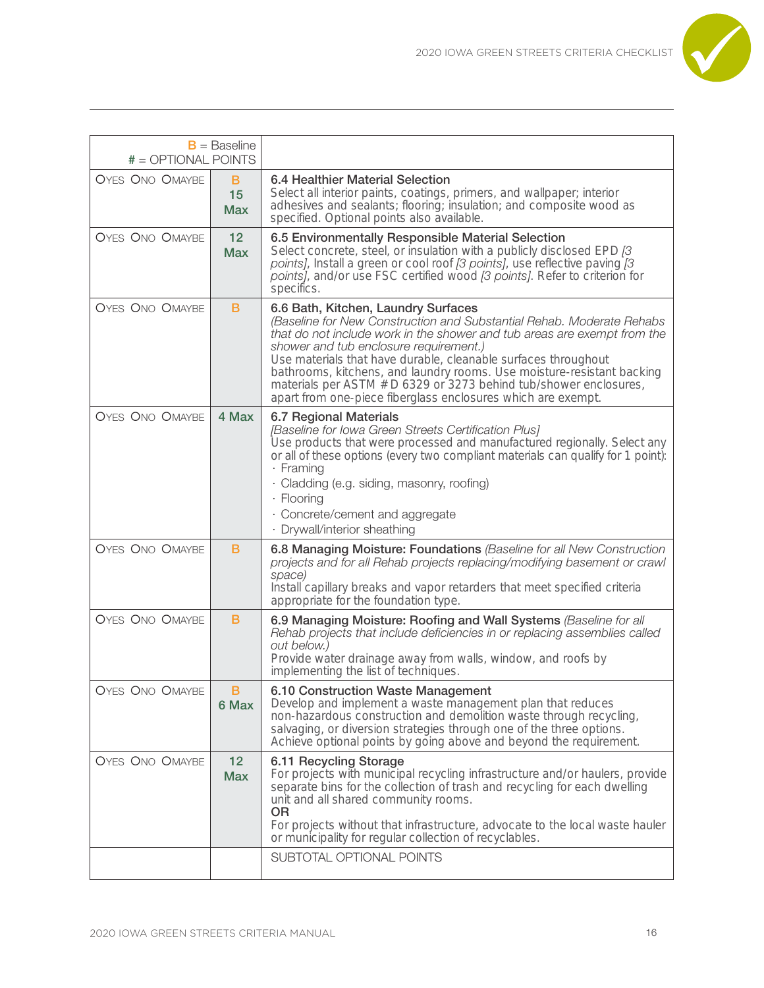

| # = OPTIONAL POINTS    | $B =$ Baseline                |                                                                                                                                                                                                                                                                                                                                                                                                                                                                                                                     |
|------------------------|-------------------------------|---------------------------------------------------------------------------------------------------------------------------------------------------------------------------------------------------------------------------------------------------------------------------------------------------------------------------------------------------------------------------------------------------------------------------------------------------------------------------------------------------------------------|
| <b>OYES ONO OMAYBE</b> | B<br>15<br><b>Max</b>         | 6.4 Healthier Material Selection<br>Select all interior paints, coatings, primers, and wallpaper; interior<br>adhesives and sealants; flooring; insulation; and composite wood as<br>specified. Optional points also available.                                                                                                                                                                                                                                                                                     |
| <b>OYES ONO OMAYBE</b> | 12<br><b>Max</b>              | 6.5 Environmentally Responsible Material Selection<br>Select concrete, steel, or insulation with a publicly disclosed EPD [3<br>points], Install a green or cool roof [3 points], use reflective paving [3<br>points], and/or use FSC certified wood [3 points]. Refer to criterion for<br>specifics.                                                                                                                                                                                                               |
| <b>OYES ONO OMAYBE</b> | B                             | 6.6 Bath, Kitchen, Laundry Surfaces<br>(Baseline for New Construction and Substantial Rehab. Moderate Rehabs<br>that do not include work in the shower and tub areas are exempt from the<br>shower and tub enclosure requirement.)<br>Use materials that have durable, cleanable surfaces throughout<br>bathrooms, kitchens, and laundry rooms. Use moisture-resistant backing<br>materials per ASTM # D 6329 or 3273 behind tub/shower enclosures,<br>apart from one-piece fiberglass enclosures which are exempt. |
| <b>OYES ONO OMAYBE</b> | 4 Max                         | 6.7 Regional Materials<br>[Baseline for Iowa Green Streets Certification Plus]<br>Use products that were processed and manufactured regionally. Select any<br>or all of these options (every two compliant materials can qualify for 1 point):<br>· Framing<br>· Cladding (e.g. siding, masonry, roofing)<br>· Flooring<br>· Concrete/cement and aggregate<br>· Drywall/interior sheathing                                                                                                                          |
| <b>OYES ONO OMAYBE</b> | в                             | 6.8 Managing Moisture: Foundations (Baseline for all New Construction<br>projects and for all Rehab projects replacing/modifying basement or crawl<br>space)<br>Install capillary breaks and vapor retarders that meet specified criteria<br>appropriate for the foundation type.                                                                                                                                                                                                                                   |
| <b>OYES ONO OMAYBE</b> | B                             | 6.9 Managing Moisture: Roofing and Wall Systems (Baseline for all<br>Rehab projects that include deficiencies in or replacing assemblies called<br>out below.)<br>Provide water drainage away from walls, window, and roofs by<br>implementing the list of techniques.                                                                                                                                                                                                                                              |
| OYES ONO OMAYBE        | ь<br>6 Max                    | 6.10 Construction Waste Management<br>Develop and implement a waste management plan that reduces<br>non-hazardous construction and demolition waste through recycling,<br>salvaging, or diversion strategies through one of the three options.<br>Achieve optional points by going above and beyond the requirement.                                                                                                                                                                                                |
| <b>OYES ONO OMAYBE</b> | 12 <sub>2</sub><br><b>Max</b> | 6.11 Recycling Storage<br>For projects with municipal recycling infrastructure and/or haulers, provide<br>separate bins for the collection of trash and recycling for each dwelling<br>unit and all shared community rooms.<br><b>OR</b><br>For projects without that infrastructure, advocate to the local waste hauler<br>or municipality for regular collection of recyclables.                                                                                                                                  |
|                        |                               | SUBTOTAL OPTIONAL POINTS                                                                                                                                                                                                                                                                                                                                                                                                                                                                                            |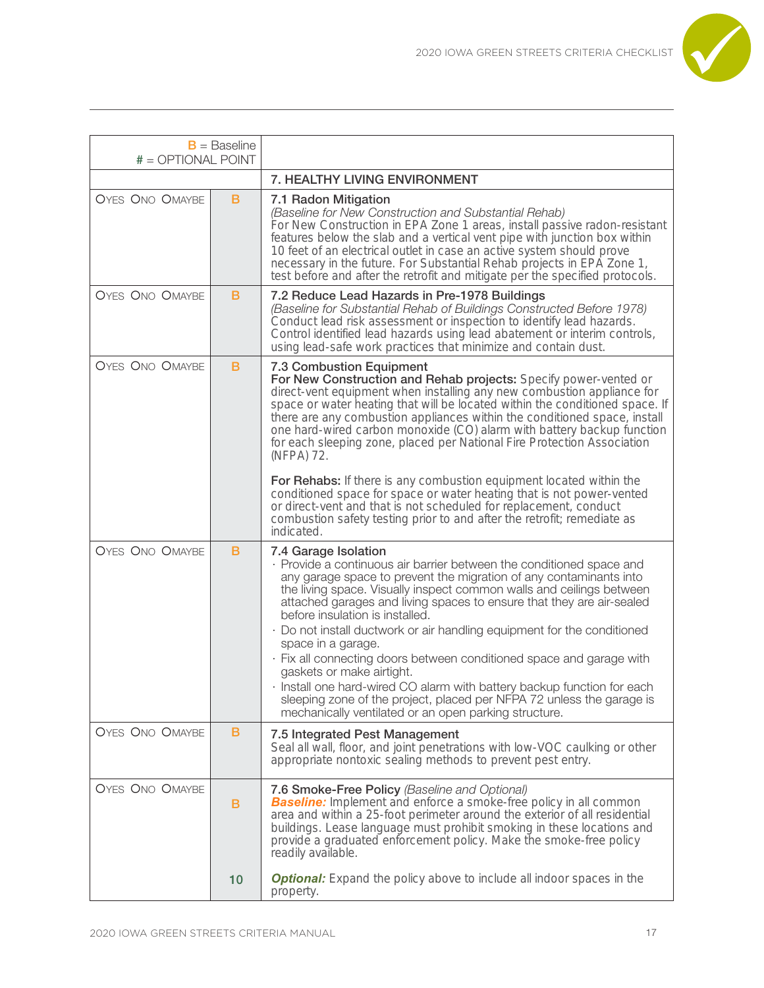

| $B =$ Baseline<br># = OPTIONAL POINT |    |                                                                                                                                                                                                                                                                                                                                                                                                                                                                                                                                                                                                                                                               |
|--------------------------------------|----|---------------------------------------------------------------------------------------------------------------------------------------------------------------------------------------------------------------------------------------------------------------------------------------------------------------------------------------------------------------------------------------------------------------------------------------------------------------------------------------------------------------------------------------------------------------------------------------------------------------------------------------------------------------|
|                                      |    | 7. HEALTHY LIVING ENVIRONMENT                                                                                                                                                                                                                                                                                                                                                                                                                                                                                                                                                                                                                                 |
| <b>OYES ONO OMAYBE</b>               | B  | 7.1 Radon Mitigation<br>(Baseline for New Construction and Substantial Rehab)<br>For New Construction in EPA Zone 1 areas, install passive radon-resistant<br>features below the slab and a vertical vent pipe with junction box within<br>10 feet of an electrical outlet in case an active system should prove<br>necessary in the future. For Substantial Rehab projects in EPA Zone 1,<br>test before and after the retrofit and mitigate per the specified protocols.                                                                                                                                                                                    |
| <b>OYES ONO OMAYBE</b>               | в  | 7.2 Reduce Lead Hazards in Pre-1978 Buildings<br>(Baseline for Substantial Rehab of Buildings Constructed Before 1978)<br>Conduct lead risk assessment or inspection to identify lead hazards.<br>Control identified lead hazards using lead abatement or interim controls,<br>using lead-safe work practices that minimize and contain dust.                                                                                                                                                                                                                                                                                                                 |
| <b>OYES ONO OMAYBE</b>               | B  | <b>7.3 Combustion Equipment</b><br>For New Construction and Rehab projects: Specify power-vented or<br>direct-vent equipment when installing any new combustion appliance for<br>space or water heating that will be located within the conditioned space. If<br>there are any combustion appliances within the conditioned space, install<br>one hard-wired carbon monoxide (CO) alarm with battery backup function<br>for each sleeping zone, placed per National Fire Protection Association<br>(NFPA) 72.<br>For Rehabs: If there is any combustion equipment located within the<br>conditioned space for space or water heating that is not power-vented |
|                                      |    | or direct-vent and that is not scheduled for replacement, conduct<br>combustion safety testing prior to and after the retrofit; remediate as<br>indicated.                                                                                                                                                                                                                                                                                                                                                                                                                                                                                                    |
| <b>OYES ONO OMAYBE</b>               | B  | 7.4 Garage Isolation<br>· Provide a continuous air barrier between the conditioned space and<br>any garage space to prevent the migration of any contaminants into<br>the living space. Visually inspect common walls and ceilings between<br>attached garages and living spaces to ensure that they are air-sealed<br>before insulation is installed.<br>· Do not install ductwork or air handling equipment for the conditioned                                                                                                                                                                                                                             |
|                                      |    | space in a garage.<br>· Fix all connecting doors between conditioned space and garage with<br>gaskets or make airtight.<br>· Install one hard-wired CO alarm with battery backup function for each                                                                                                                                                                                                                                                                                                                                                                                                                                                            |
|                                      |    | sleeping zone of the project, placed per NFPA 72 unless the garage is<br>mechanically ventilated or an open parking structure.                                                                                                                                                                                                                                                                                                                                                                                                                                                                                                                                |
| <b>OYES ONO OMAYBE</b>               | в  | 7.5 Integrated Pest Management<br>Seal all wall, floor, and joint penetrations with low-VOC caulking or other<br>appropriate nontoxic sealing methods to prevent pest entry.                                                                                                                                                                                                                                                                                                                                                                                                                                                                                  |
| <b>OYES ONO OMAYBE</b>               | B  | 7.6 Smoke-Free Policy (Baseline and Optional)<br><b>Baseline:</b> Implement and enforce a smoke-free policy in all common<br>area and within a 25-foot perimeter around the exterior of all residential<br>buildings. Lease language must prohibit smoking in these locations and<br>provide a graduated enforcement policy. Make the smoke-free policy<br>readily available.                                                                                                                                                                                                                                                                                 |
|                                      | 10 | <b>Optional:</b> Expand the policy above to include all indoor spaces in the<br>property.                                                                                                                                                                                                                                                                                                                                                                                                                                                                                                                                                                     |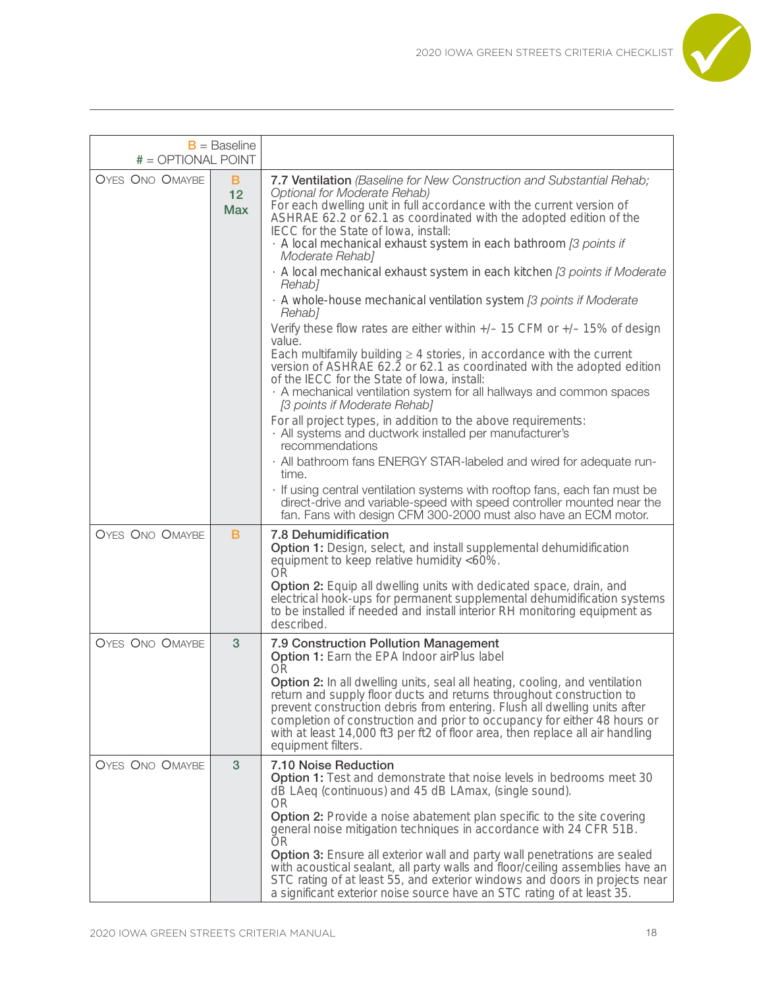

| $B =$ Baseline         |                       |                                                                                                                                                                                                                                                                                                                                                                                                                                                                                                                                                                                                                                                                                                                                                                                                                                                                                                                                                                                                                                                                                                                                                                                                                                                                                                                                                                                                                                  |
|------------------------|-----------------------|----------------------------------------------------------------------------------------------------------------------------------------------------------------------------------------------------------------------------------------------------------------------------------------------------------------------------------------------------------------------------------------------------------------------------------------------------------------------------------------------------------------------------------------------------------------------------------------------------------------------------------------------------------------------------------------------------------------------------------------------------------------------------------------------------------------------------------------------------------------------------------------------------------------------------------------------------------------------------------------------------------------------------------------------------------------------------------------------------------------------------------------------------------------------------------------------------------------------------------------------------------------------------------------------------------------------------------------------------------------------------------------------------------------------------------|
| # = OPTIONAL POINT     |                       |                                                                                                                                                                                                                                                                                                                                                                                                                                                                                                                                                                                                                                                                                                                                                                                                                                                                                                                                                                                                                                                                                                                                                                                                                                                                                                                                                                                                                                  |
| <b>OYES ONO OMAYBE</b> | B<br>12<br><b>Max</b> | 7.7 Ventilation (Baseline for New Construction and Substantial Rehab;<br>Optional for Moderate Rehab)<br>For each dwelling unit in full accordance with the current version of<br>ASHRAE 62.2 or 62.1 as coordinated with the adopted edition of the<br>IECC for the State of Iowa, install:<br>· A local mechanical exhaust system in each bathroom [3 points if<br>Moderate Rehab]<br>· A local mechanical exhaust system in each kitchen [3 points if Moderate<br>Rehab]<br>· A whole-house mechanical ventilation system [3 points if Moderate<br>Rehab1<br>Verify these flow rates are either within $+/-$ 15 CFM or $+/-$ 15% of design<br>value.<br>Each multifamily building $\geq 4$ stories, in accordance with the current<br>version of ASHRAE 62.2 or 62.1 as coordinated with the adopted edition<br>of the IECC for the State of Iowa, install:<br>· A mechanical ventilation system for all hallways and common spaces<br>[3 points if Moderate Rehab]<br>For all project types, in addition to the above requirements:<br>· All systems and ductwork installed per manufacturer's<br>recommendations<br>· All bathroom fans ENERGY STAR-labeled and wired for adequate run-<br>time.<br>· If using central ventilation systems with rooftop fans, each fan must be<br>direct-drive and variable-speed with speed controller mounted near the<br>fan. Fans with design CFM 300-2000 must also have an ECM motor. |
| <b>OYES ONO OMAYBE</b> | B                     | 7.8 Dehumidification<br>Option 1: Design, select, and install supplemental dehumidification<br>equipment to keep relative humidity <60%.<br><b>OR</b><br>Option 2: Equip all dwelling units with dedicated space, drain, and<br>electrical hook-ups for permanent supplemental dehumidification systems<br>to be installed if needed and install interior RH monitoring equipment as<br>described.                                                                                                                                                                                                                                                                                                                                                                                                                                                                                                                                                                                                                                                                                                                                                                                                                                                                                                                                                                                                                               |
| <b>OYES ONO OMAYBE</b> | 3                     | 7.9 Construction Pollution Management<br>Option 1: Earn the EPA Indoor airPlus label<br><b>OR</b><br>Option 2: In all dwelling units, seal all heating, cooling, and ventilation<br>return and supply floor ducts and returns throughout construction to<br>prevent construction debris from entering. Flush all dwelling units after<br>completion of construction and prior to occupancy for either 48 hours or<br>with at least 14,000 ft3 per ft2 of floor area, then replace all air handling<br>equipment filters.                                                                                                                                                                                                                                                                                                                                                                                                                                                                                                                                                                                                                                                                                                                                                                                                                                                                                                         |
| <b>OYES ONO OMAYBE</b> | 3                     | 7.10 Noise Reduction<br>Option 1: Test and demonstrate that noise levels in bedrooms meet 30<br>dB LAeq (continuous) and 45 dB LAmax, (single sound).<br>0R<br><b>Option 2:</b> Provide a noise abatement plan specific to the site covering<br>general noise mitigation techniques in accordance with 24 CFR 51B.<br><b>OR</b><br><b>Option 3:</b> Ensure all exterior wall and party wall penetrations are sealed<br>with acoustical sealant, all party walls and floor/ceiling assemblies have an<br>STC rating of at least 55, and exterior windows and doors in projects near<br>a significant exterior noise source have an STC rating of at least 35.                                                                                                                                                                                                                                                                                                                                                                                                                                                                                                                                                                                                                                                                                                                                                                     |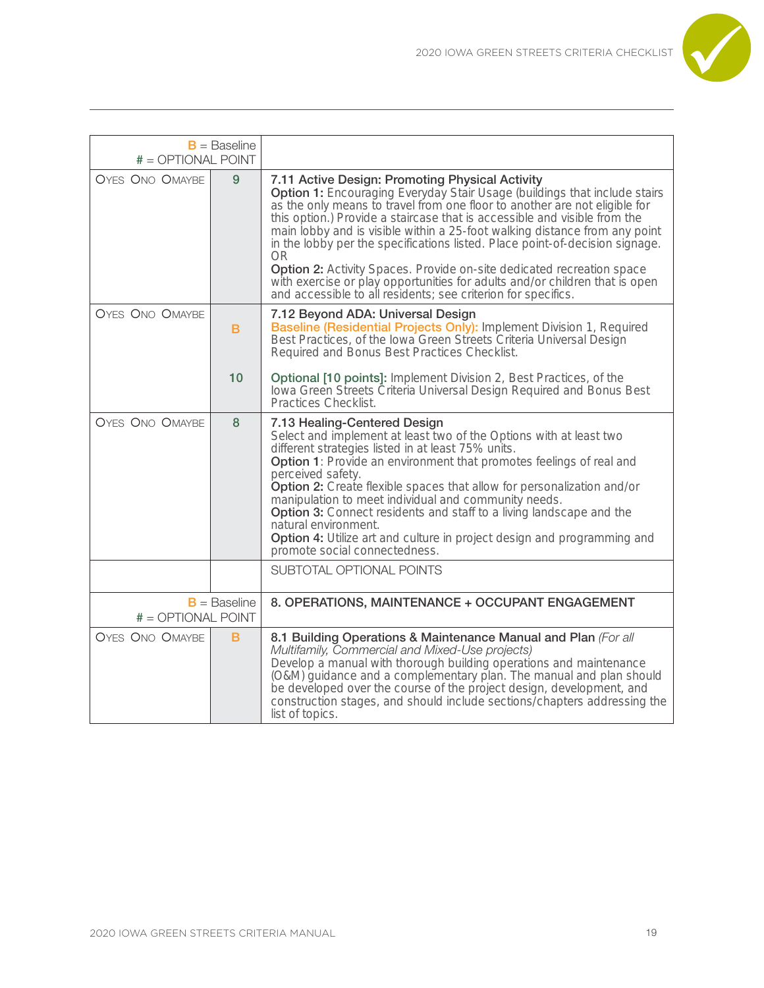

| $B =$ Baseline<br># = OPTIONAL POINT          |    |                                                                                                                                                                                                                                                                                                                                                                                                                                                                                                                                                                                                                                                                                                     |
|-----------------------------------------------|----|-----------------------------------------------------------------------------------------------------------------------------------------------------------------------------------------------------------------------------------------------------------------------------------------------------------------------------------------------------------------------------------------------------------------------------------------------------------------------------------------------------------------------------------------------------------------------------------------------------------------------------------------------------------------------------------------------------|
| <b>OYES ONO OMAYBE</b>                        | 9  | 7.11 Active Design: Promoting Physical Activity<br><b>Option 1:</b> Encouraging Everyday Stair Usage (buildings that include stairs<br>as the only means to travel from one floor to another are not eligible for<br>this option.) Provide a staircase that is accessible and visible from the<br>main lobby and is visible within a 25-foot walking distance from any point<br>in the lobby per the specifications listed. Place point-of-decision signage.<br>OR.<br><b>Option 2:</b> Activity Spaces. Provide on-site dedicated recreation space<br>with exercise or play opportunities for adults and/or children that is open<br>and accessible to all residents; see criterion for specifics. |
| <b>OYES ONO OMAYBE</b>                        | B  | 7.12 Beyond ADA: Universal Design<br><b>Baseline (Residential Projects Only):</b> Implement Division 1, Required<br>Best Practices, of the Iowa Green Streets Criteria Universal Design<br>Required and Bonus Best Practices Checklist.                                                                                                                                                                                                                                                                                                                                                                                                                                                             |
|                                               | 10 | Optional [10 points]: Implement Division 2, Best Practices, of the<br>lowa Green Streets Criteria Universal Design Required and Bonus Best<br>Practices Checklist.                                                                                                                                                                                                                                                                                                                                                                                                                                                                                                                                  |
| <b>OYES ONO OMAYBE</b>                        | 8  | 7.13 Healing-Centered Design<br>Select and implement at least two of the Options with at least two<br>different strategies listed in at least 75% units.<br><b>Option 1</b> : Provide an environment that promotes feelings of real and<br>perceived safety.<br><b>Option 2:</b> Create flexible spaces that allow for personalization and/or<br>manipulation to meet individual and community needs.<br><b>Option 3:</b> Connect residents and staff to a living landscape and the<br>natural environment.<br>Option 4: Utilize art and culture in project design and programming and<br>promote social connectedness.                                                                             |
|                                               |    | SUBTOTAL OPTIONAL POINTS                                                                                                                                                                                                                                                                                                                                                                                                                                                                                                                                                                                                                                                                            |
| $B =$ Baseline<br>$# = \text{OPTIONAL POINT}$ |    | 8. OPERATIONS, MAINTENANCE + OCCUPANT ENGAGEMENT                                                                                                                                                                                                                                                                                                                                                                                                                                                                                                                                                                                                                                                    |
| <b>OYES ONO OMAYBE</b>                        | B  | 8.1 Building Operations & Maintenance Manual and Plan (For all<br>Multifamily, Commercial and Mixed-Use projects)<br>Develop a manual with thorough building operations and maintenance<br>(O&M) guidance and a complementary plan. The manual and plan should<br>be developed over the course of the project design, development, and<br>construction stages, and should include sections/chapters addressing the<br>list of topics.                                                                                                                                                                                                                                                               |